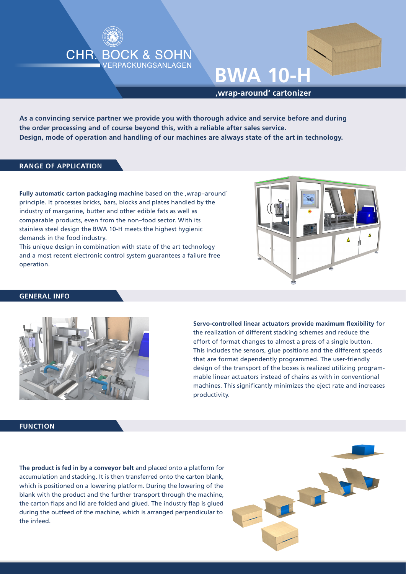



**'wrap-around' cartonizer**

**As a convincing service partner we provide you with thorough advice and service before and during the order processing and of course beyond this, with a reliable after sales service. Design, mode of operation and handling of our machines are always state of the art in technology.**

#### **RANGE OF APPLICATION**

**Fully automatic carton packaging machine** based on the ,wrap–around´ principle. It processes bricks, bars, blocks and plates handled by the industry of margarine, butter and other edible fats as well as comparable products, even from the non–food sector. With its stainless steel design the BWA 10-H meets the highest hygienic demands in the food industry.

This unique design in combination with state of the art technology and a most recent electronic control system guarantees a failure free operation.



#### **GENERAL INFO**



**Servo-controlled linear actuators provide maximum flexibility** for the realization of different stacking schemes and reduce the effort of format changes to almost a press of a single button. This includes the sensors, glue positions and the different speeds that are format dependently programmed. The user-friendly design of the transport of the boxes is realized utilizing programmable linear actuators instead of chains as with in conventional machines. This significantly minimizes the eject rate and increases productivity.

### **FUNCTION**

**The product is fed in by a conveyor belt** and placed onto a platform for accumulation and stacking. It is then transferred onto the carton blank, which is positioned on a lowering platform. During the lowering of the blank with the product and the further transport through the machine, the carton flaps and lid are folded and glued. The industry flap is glued during the outfeed of the machine, which is arranged perpendicular to the infeed.